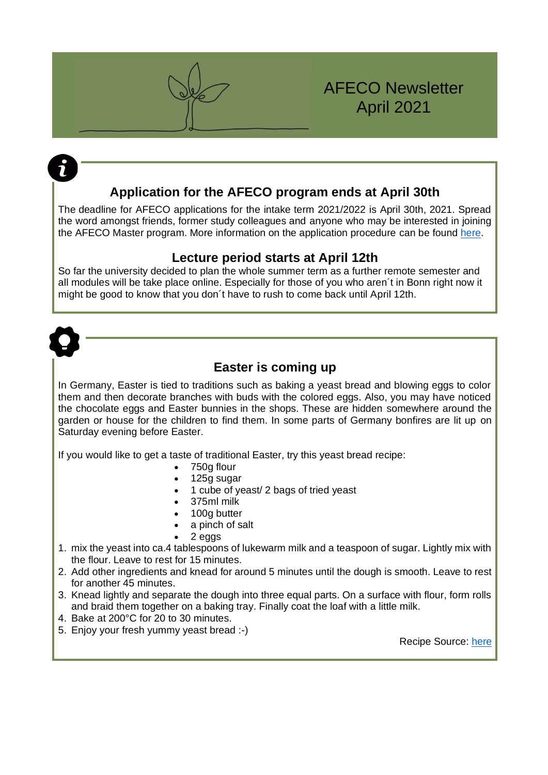# AFECO Newsletter April 2021

## **Application for the AFECO program ends at April 30th**

The deadline for AFECO applications for the intake term 2021/2022 is April 30th, 2021. Spread the word amongst friends, former study colleagues and anyone who may be interested in joining the AFECO Master program. More information on the application procedure can be found [here.](https://www.afeco.uni-bonn.de/application-procedure)

## **Lecture period starts at April 12th**

So far the university decided to plan the whole summer term as a further remote semester and all modules will be take place online. Especially for those of you who aren´t in Bonn right now it might be good to know that you don´t have to rush to come back until April 12th.



## **Easter is coming up**

In Germany, Easter is tied to traditions such as baking a yeast bread and blowing eggs to color them and then decorate branches with buds with the colored eggs. Also, you may have noticed the chocolate eggs and Easter bunnies in the shops. These are hidden somewhere around the garden or house for the children to find them. In some parts of Germany bonfires are lit up on Saturday evening before Easter.

If you would like to get a taste of traditional Easter, try this yeast bread recipe:

- 750g flour
- 125g sugar
- 1 cube of yeast/ 2 bags of tried yeast
- 375ml milk
- 100g butter
- a pinch of salt
- 2 eggs
- 1. mix the yeast into ca.4 tablespoons of lukewarm milk and a teaspoon of sugar. Lightly mix with the flour. Leave to rest for 15 minutes.
- 2. Add other ingredients and knead for around 5 minutes until the dough is smooth. Leave to rest for another 45 minutes.
- 3. Knead lightly and separate the dough into three equal parts. On a surface with flour, form rolls and braid them together on a baking tray. Finally coat the loaf with a little milk.
- 4. Bake at 200°C for 20 to 30 minutes.
- 5. Enjoy your fresh yummy yeast bread :-)

Recipe Source: [here](https://www.chefkoch.de/rezepte/699761172511152/Uromas-Hefezopf.html)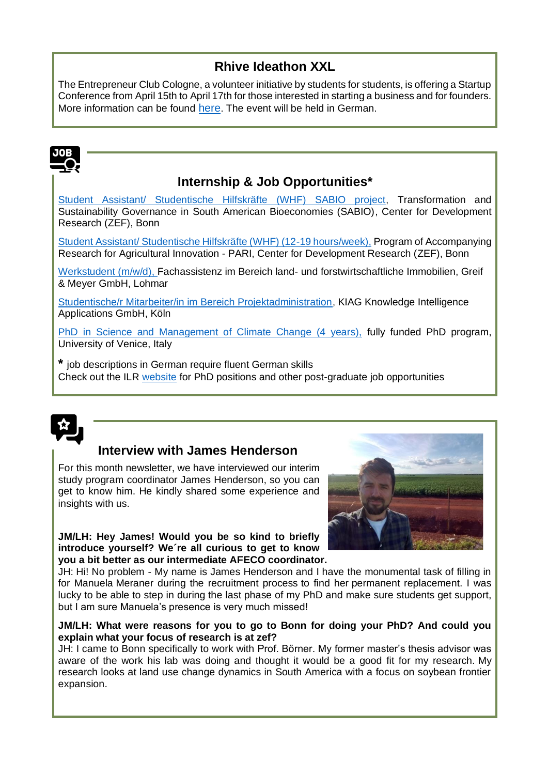# **Rhive Ideathon XXL**

The Entrepreneur Club Cologne, a volunteer initiative by students for students, is offering a Startup Conference from April 15th to April 17th for those interested in starting a business and for founders. More information can be found [here](https://rhive.de/). The event will be held in German.

# **Internship & Job Opportunities\***

[Student Assistant/ Studentische Hilfskräfte \(WHF\) SABIO project,](https://www.zef.de/fileadmin/webfiles/downloads/vacancies/SHK_SABIO_Call_for_Applications.pdf) Transformation and Sustainability Governance in South American Bioeconomies (SABIO), Center for Development Research (ZEF), Bonn

[Student Assistant/ Studentische Hilfskräfte \(WHF\) \(12-19 hours/week\),](https://www.zef.de/fileadmin/webfiles/downloads/vacancies/WHF-Position_PARI.pdf) Program of Accompanying Research for Agricultural Innovation - PARI, Center for Development Research (ZEF), Bonn

[Werkstudent \(m/w/d\),](https://www.greif-meyer.de/unternehmen/karriere/werkstudent-in.html) Fachassistenz im Bereich land- und forstwirtschaftliche Immobilien, Greif & Meyer GmbH, Lohmar

[Studentische/r Mitarbeiter/in im Bereich Projektadministration,](https://www.ilr1.uni-bonn.de/de/jobs/2020-06-18-stellenausschreibung-projektadmin-1.0-r.pdf) KIAG Knowledge Intelligence Applications GmbH, Köln

[PhD in Science and Management of Climate Change \(4 years\),](https://www.unive.it/pag/7859/) fully funded PhD program, University of Venice, Italy

**\*** job descriptions in German require fluent German skills Check out the ILR [website](https://www.ilr1.uni-bonn.de/de/jobs) for PhD positions and other post-graduate job opportunities



# **Interview with James Henderson**

For this month newsletter, we have interviewed our interim study program coordinator James Henderson, so you can get to know him. He kindly shared some experience and insights with us.

**JM/LH: Hey James! Would you be so kind to briefly introduce yourself? We´re all curious to get to know you a bit better as our intermediate AFECO coordinator.**



JH: Hi! No problem - My name is James Henderson and I have the monumental task of filling in for Manuela Meraner during the recruitment process to find her permanent replacement. I was lucky to be able to step in during the last phase of my PhD and make sure students get support, but I am sure Manuela's presence is very much missed!

## **JM/LH: What were reasons for you to go to Bonn for doing your PhD? And could you explain what your focus of research is at zef?**

JH: I came to Bonn specifically to work with Prof. Börner. My former master's thesis advisor was aware of the work his lab was doing and thought it would be a good fit for my research. My research looks at land use change dynamics in South America with a focus on soybean frontier expansion.